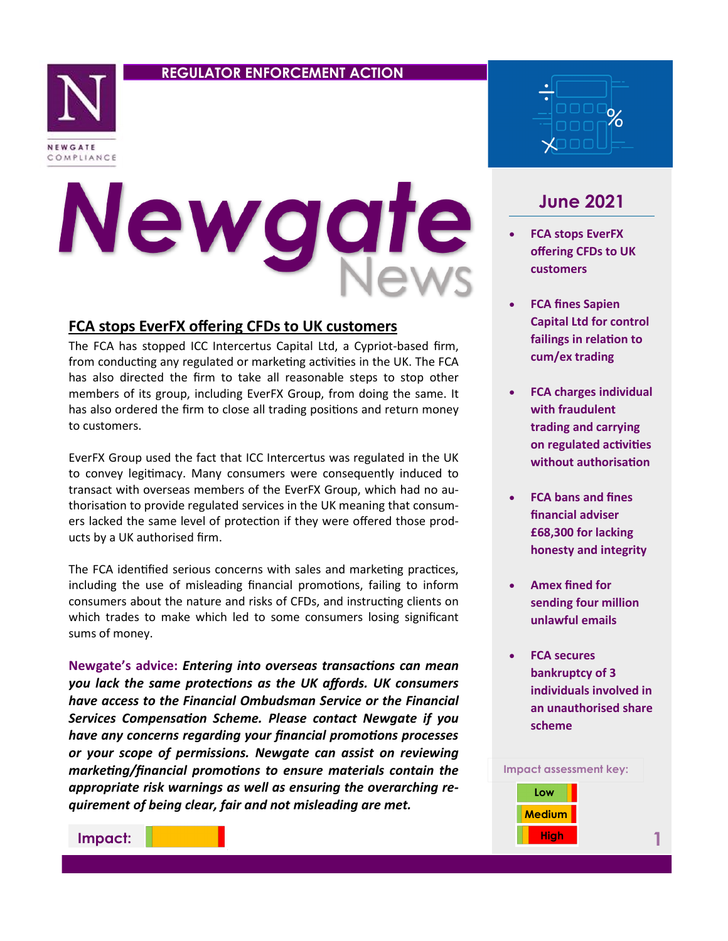### **REGULATOR ENFORCEMENT ACTION**



# Newgat

## **FCA stops EverFX offering CFDs to UK customers**

The FCA has stopped ICC Intercertus Capital Ltd, a Cypriot-based firm, from conducting any regulated or marketing activities in the UK. The FCA has also directed the firm to take all reasonable steps to stop other members of its group, including EverFX Group, from doing the same. It has also ordered the firm to close all trading positions and return money to customers.

EverFX Group used the fact that ICC Intercertus was regulated in the UK to convey legitimacy. Many consumers were consequently induced to transact with overseas members of the EverFX Group, which had no authorisation to provide regulated services in the UK meaning that consumers lacked the same level of protection if they were offered those products by a UK authorised firm.

The FCA identified serious concerns with sales and marketing practices, including the use of misleading financial promotions, failing to inform consumers about the nature and risks of CFDs, and instructing clients on which trades to make which led to some consumers losing significant sums of money.

**Newgate's advice:** *Entering into overseas transactions can mean you lack the same protections as the UK affords. UK consumers have access to the Financial Ombudsman Service or the Financial Services Compensation Scheme. Please contact Newgate if you have any concerns regarding your financial promotions processes or your scope of permissions. Newgate can assist on reviewing marketing/financial promotions to ensure materials contain the appropriate risk warnings as well as ensuring the overarching requirement of being clear, fair and not misleading are met.* 



# **June 2021**

- **FCA stops EverFX offering CFDs to UK customers**
- **FCA fines Sapien Capital Ltd for control failings in relation to cum/ex trading**
- **FCA charges individual with fraudulent trading and carrying on regulated activities without authorisation**
- **FCA bans and fines financial adviser £68,300 for lacking honesty and integrity**
- **Amex fined for sending four million unlawful emails**
- **FCA secures bankruptcy of 3 individuals involved in an unauthorised share scheme**



**Impact:**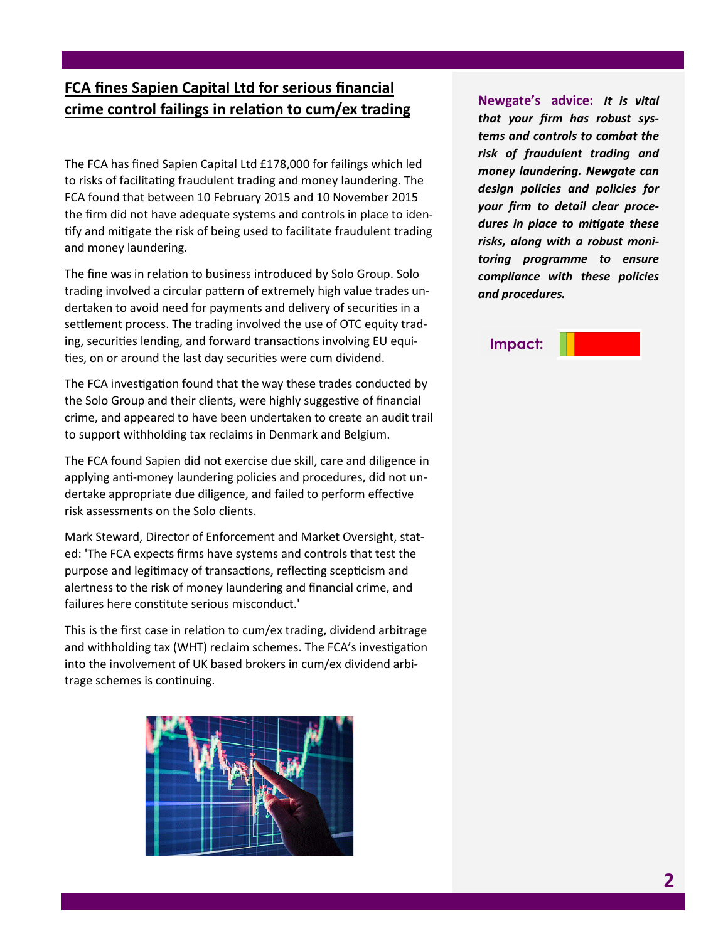# **FCA fines Sapien Capital Ltd for serious financial crime control failings in relation to cum/ex trading**

The FCA has fined Sapien Capital Ltd £178,000 for failings which led to risks of facilitating fraudulent trading and money laundering. The FCA found that between 10 February 2015 and 10 November 2015 the firm did not have adequate systems and controls in place to identify and mitigate the risk of being used to facilitate fraudulent trading and money laundering.

The fine was in relation to business introduced by Solo Group. Solo trading involved a circular pattern of extremely high value trades undertaken to avoid need for payments and delivery of securities in a settlement process. The trading involved the use of OTC equity trading, securities lending, and forward transactions involving EU equities, on or around the last day securities were cum dividend.

The FCA investigation found that the way these trades conducted by the Solo Group and their clients, were highly suggestive of financial crime, and appeared to have been undertaken to create an audit trail to support withholding tax reclaims in Denmark and Belgium.

The FCA found Sapien did not exercise due skill, care and diligence in applying anti-money laundering policies and procedures, did not undertake appropriate due diligence, and failed to perform effective risk assessments on the Solo clients.

Mark Steward, Director of Enforcement and Market Oversight, stated: 'The FCA expects firms have systems and controls that test the purpose and legitimacy of transactions, reflecting scepticism and alertness to the risk of money laundering and financial crime, and failures here constitute serious misconduct.'

This is the first case in relation to cum/ex trading, dividend arbitrage and withholding tax (WHT) reclaim schemes. The FCA's investigation into the involvement of UK based brokers in cum/ex dividend arbitrage schemes is continuing.



**Newgate's advice:** *It is vital that your firm has robust systems and controls to combat the risk of fraudulent trading and money laundering. Newgate can design policies and policies for your firm to detail clear procedures in place to mitigate these risks, along with a robust monitoring programme to ensure compliance with these policies and procedures.* 

### **Impact:**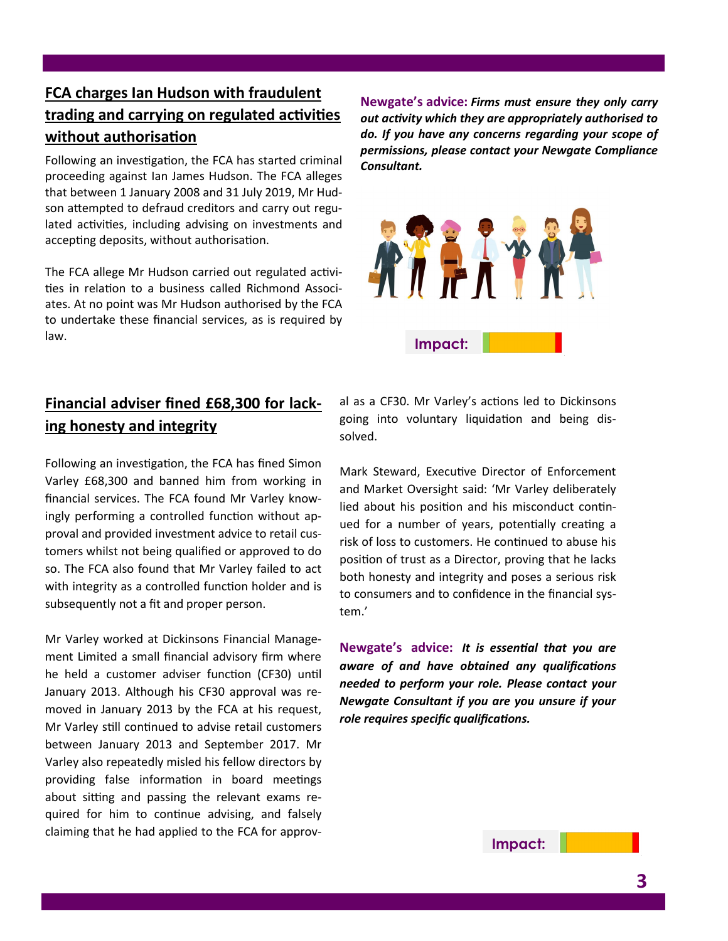# **FCA charges Ian Hudson with fraudulent trading and carrying on regulated activities without authorisation**

Following an investigation, the FCA has started criminal proceeding against Ian James Hudson. The FCA alleges that between 1 January 2008 and 31 July 2019, Mr Hudson attempted to defraud creditors and carry out regulated activities, including advising on investments and accepting deposits, without authorisation.

The FCA allege Mr Hudson carried out regulated activities in relation to a business called Richmond Associates. At no point was Mr Hudson authorised by the FCA to undertake these financial services, as is required by law.

**Newgate's advice:** *Firms must ensure they only carry out activity which they are appropriately authorised to do. If you have any concerns regarding your scope of permissions, please contact your Newgate Compliance Consultant.* 



# **Financial adviser fined £68,300 for lacking honesty and integrity**

Following an investigation, the FCA has fined Simon Varley £68,300 and banned him from working in financial services. The FCA found Mr Varley knowingly performing a controlled function without approval and provided investment advice to retail customers whilst not being qualified or approved to do so. The FCA also found that Mr Varley failed to act with integrity as a controlled function holder and is subsequently not a fit and proper person.

Mr Varley worked at Dickinsons Financial Management Limited a small financial advisory firm where he held a customer adviser function (CF30) until January 2013. Although his CF30 approval was removed in January 2013 by the FCA at his request, Mr Varley still continued to advise retail customers between January 2013 and September 2017. Mr Varley also repeatedly misled his fellow directors by providing false information in board meetings about sitting and passing the relevant exams required for him to continue advising, and falsely claiming that he had applied to the FCA for approval as a CF30. Mr Varley's actions led to Dickinsons going into voluntary liquidation and being dissolved.

Mark Steward, Executive Director of Enforcement and Market Oversight said: 'Mr Varley deliberately lied about his position and his misconduct continued for a number of years, potentially creating a risk of loss to customers. He continued to abuse his position of trust as a Director, proving that he lacks both honesty and integrity and poses a serious risk to consumers and to confidence in the financial system.'

**Newgate's advice:** *It is essential that you are aware of and have obtained any qualifications needed to perform your role. Please contact your Newgate Consultant if you are you unsure if your role requires specific qualifications.*